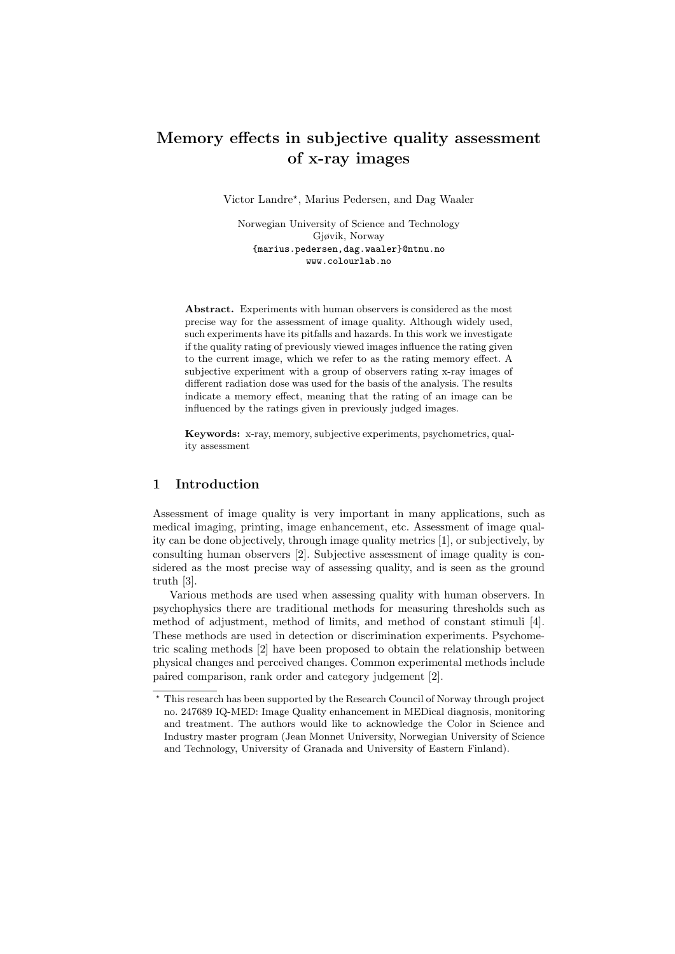# Memory effects in subjective quality assessment of x-ray images

Victor Landre? , Marius Pedersen, and Dag Waaler

Norwegian University of Science and Technology Gjøvik, Norway {marius.pedersen,dag.waaler}@ntnu.no www.colourlab.no

Abstract. Experiments with human observers is considered as the most precise way for the assessment of image quality. Although widely used, such experiments have its pitfalls and hazards. In this work we investigate if the quality rating of previously viewed images influence the rating given to the current image, which we refer to as the rating memory effect. A subjective experiment with a group of observers rating x-ray images of different radiation dose was used for the basis of the analysis. The results indicate a memory effect, meaning that the rating of an image can be influenced by the ratings given in previously judged images.

Keywords: x-ray, memory, subjective experiments, psychometrics, quality assessment

## 1 Introduction

Assessment of image quality is very important in many applications, such as medical imaging, printing, image enhancement, etc. Assessment of image quality can be done objectively, through image quality metrics [1], or subjectively, by consulting human observers [2]. Subjective assessment of image quality is considered as the most precise way of assessing quality, and is seen as the ground truth [3].

Various methods are used when assessing quality with human observers. In psychophysics there are traditional methods for measuring thresholds such as method of adjustment, method of limits, and method of constant stimuli [4]. These methods are used in detection or discrimination experiments. Psychometric scaling methods [2] have been proposed to obtain the relationship between physical changes and perceived changes. Common experimental methods include paired comparison, rank order and category judgement [2].

<sup>?</sup> This research has been supported by the Research Council of Norway through project no. 247689 IQ-MED: Image Quality enhancement in MEDical diagnosis, monitoring and treatment. The authors would like to acknowledge the Color in Science and Industry master program (Jean Monnet University, Norwegian University of Science and Technology, University of Granada and University of Eastern Finland).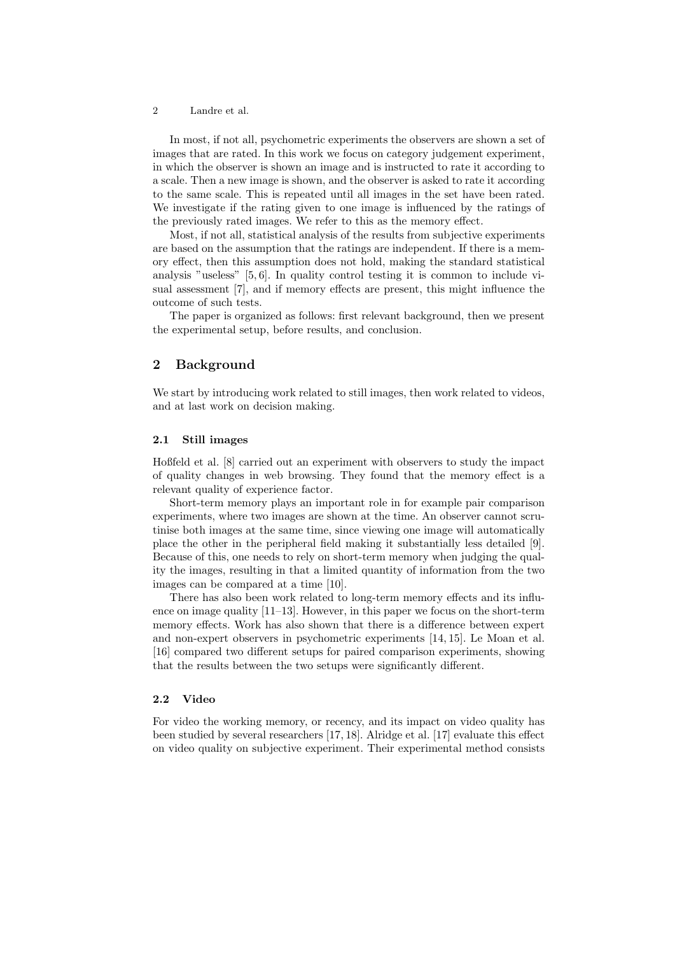In most, if not all, psychometric experiments the observers are shown a set of images that are rated. In this work we focus on category judgement experiment, in which the observer is shown an image and is instructed to rate it according to a scale. Then a new image is shown, and the observer is asked to rate it according to the same scale. This is repeated until all images in the set have been rated. We investigate if the rating given to one image is influenced by the ratings of the previously rated images. We refer to this as the memory effect.

Most, if not all, statistical analysis of the results from subjective experiments are based on the assumption that the ratings are independent. If there is a memory effect, then this assumption does not hold, making the standard statistical analysis "useless" [5, 6]. In quality control testing it is common to include visual assessment [7], and if memory effects are present, this might influence the outcome of such tests.

The paper is organized as follows: first relevant background, then we present the experimental setup, before results, and conclusion.

## 2 Background

We start by introducing work related to still images, then work related to videos, and at last work on decision making.

### 2.1 Still images

Hoßfeld et al. [8] carried out an experiment with observers to study the impact of quality changes in web browsing. They found that the memory effect is a relevant quality of experience factor.

Short-term memory plays an important role in for example pair comparison experiments, where two images are shown at the time. An observer cannot scrutinise both images at the same time, since viewing one image will automatically place the other in the peripheral field making it substantially less detailed [9]. Because of this, one needs to rely on short-term memory when judging the quality the images, resulting in that a limited quantity of information from the two images can be compared at a time [10].

There has also been work related to long-term memory effects and its influence on image quality [11–13]. However, in this paper we focus on the short-term memory effects. Work has also shown that there is a difference between expert and non-expert observers in psychometric experiments [14, 15]. Le Moan et al. [16] compared two different setups for paired comparison experiments, showing that the results between the two setups were significantly different.

## 2.2 Video

For video the working memory, or recency, and its impact on video quality has been studied by several researchers [17, 18]. Alridge et al. [17] evaluate this effect on video quality on subjective experiment. Their experimental method consists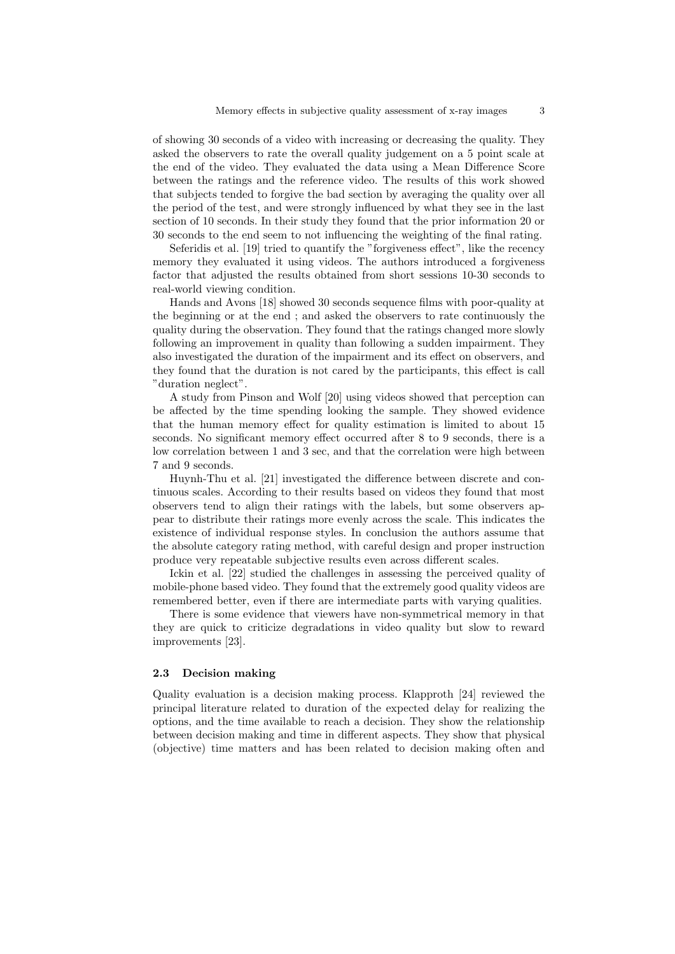of showing 30 seconds of a video with increasing or decreasing the quality. They asked the observers to rate the overall quality judgement on a 5 point scale at the end of the video. They evaluated the data using a Mean Difference Score between the ratings and the reference video. The results of this work showed that subjects tended to forgive the bad section by averaging the quality over all the period of the test, and were strongly influenced by what they see in the last section of 10 seconds. In their study they found that the prior information 20 or 30 seconds to the end seem to not influencing the weighting of the final rating.

Seferidis et al. [19] tried to quantify the "forgiveness effect", like the recency memory they evaluated it using videos. The authors introduced a forgiveness factor that adjusted the results obtained from short sessions 10-30 seconds to real-world viewing condition.

Hands and Avons [18] showed 30 seconds sequence films with poor-quality at the beginning or at the end ; and asked the observers to rate continuously the quality during the observation. They found that the ratings changed more slowly following an improvement in quality than following a sudden impairment. They also investigated the duration of the impairment and its effect on observers, and they found that the duration is not cared by the participants, this effect is call "duration neglect".

A study from Pinson and Wolf [20] using videos showed that perception can be affected by the time spending looking the sample. They showed evidence that the human memory effect for quality estimation is limited to about 15 seconds. No significant memory effect occurred after 8 to 9 seconds, there is a low correlation between 1 and 3 sec, and that the correlation were high between 7 and 9 seconds.

Huynh-Thu et al. [21] investigated the difference between discrete and continuous scales. According to their results based on videos they found that most observers tend to align their ratings with the labels, but some observers appear to distribute their ratings more evenly across the scale. This indicates the existence of individual response styles. In conclusion the authors assume that the absolute category rating method, with careful design and proper instruction produce very repeatable subjective results even across different scales.

Ickin et al. [22] studied the challenges in assessing the perceived quality of mobile-phone based video. They found that the extremely good quality videos are remembered better, even if there are intermediate parts with varying qualities.

There is some evidence that viewers have non-symmetrical memory in that they are quick to criticize degradations in video quality but slow to reward improvements [23].

### 2.3 Decision making

Quality evaluation is a decision making process. Klapproth [24] reviewed the principal literature related to duration of the expected delay for realizing the options, and the time available to reach a decision. They show the relationship between decision making and time in different aspects. They show that physical (objective) time matters and has been related to decision making often and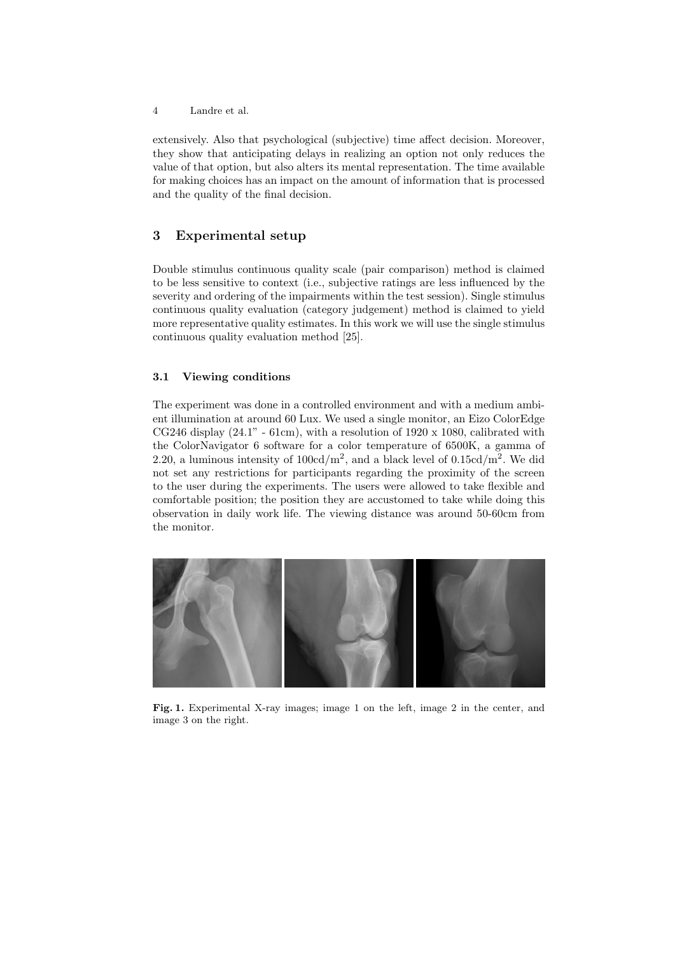extensively. Also that psychological (subjective) time affect decision. Moreover, they show that anticipating delays in realizing an option not only reduces the value of that option, but also alters its mental representation. The time available for making choices has an impact on the amount of information that is processed and the quality of the final decision.

## 3 Experimental setup

Double stimulus continuous quality scale (pair comparison) method is claimed to be less sensitive to context (i.e., subjective ratings are less influenced by the severity and ordering of the impairments within the test session). Single stimulus continuous quality evaluation (category judgement) method is claimed to yield more representative quality estimates. In this work we will use the single stimulus continuous quality evaluation method [25].

## 3.1 Viewing conditions

The experiment was done in a controlled environment and with a medium ambient illumination at around 60 Lux. We used a single monitor, an Eizo ColorEdge CG246 display  $(24.1" - 61cm)$ , with a resolution of 1920 x 1080, calibrated with the ColorNavigator 6 software for a color temperature of 6500K, a gamma of 2.20, a luminous intensity of  $100 \text{cd/m}^2$ , and a black level of  $0.15 \text{cd/m}^2$ . We did not set any restrictions for participants regarding the proximity of the screen to the user during the experiments. The users were allowed to take flexible and comfortable position; the position they are accustomed to take while doing this observation in daily work life. The viewing distance was around 50-60cm from the monitor.



Fig. 1. Experimental X-ray images; image 1 on the left, image 2 in the center, and image 3 on the right.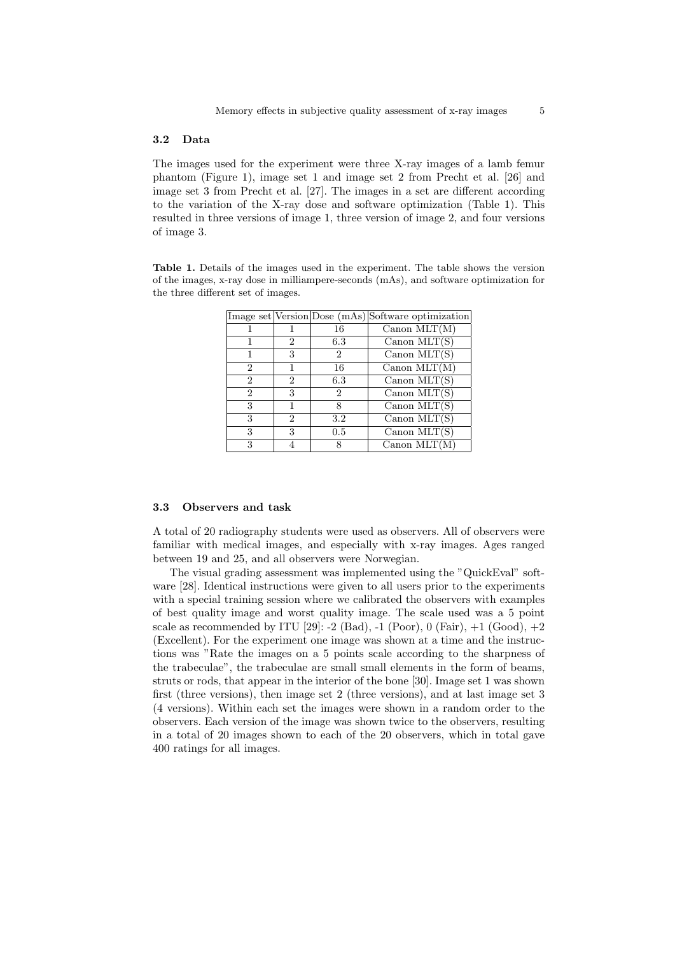### 3.2 Data

The images used for the experiment were three X-ray images of a lamb femur phantom (Figure 1), image set 1 and image set 2 from Precht et al. [26] and image set 3 from Precht et al. [27]. The images in a set are different according to the variation of the X-ray dose and software optimization (Table 1). This resulted in three versions of image 1, three version of image 2, and four versions of image 3.

Table 1. Details of the images used in the experiment. The table shows the version of the images, x-ray dose in milliampere-seconds (mAs), and software optimization for the three different set of images.

|                             |   |     | Image set Version Dose (mAs) Software optimization |
|-----------------------------|---|-----|----------------------------------------------------|
|                             |   | 16  | $Canon$ MLT $(M)$                                  |
|                             | 2 | 6.3 | Canon $MLT(S)$                                     |
|                             | 3 | 2   | Canon $MLT(S)$                                     |
| $\overline{2}$              |   | 16  | Canon $MLT(M)$                                     |
| $\mathcal{D}_{\mathcal{L}}$ | 2 | 6.3 | Canon $MLT(S)$                                     |
| $\overline{2}$              | 3 | 2   | Canon $MLT(S)$                                     |
| 3                           |   | 8   | Canon $MLT(S)$                                     |
| 3                           | 2 | 3.2 | Canon $MLT(S)$                                     |
| 3                           | 3 | 0.5 | Canon $MLT(S)$                                     |
| 3                           |   |     | Canon $MLT(M)$                                     |

#### 3.3 Observers and task

A total of 20 radiography students were used as observers. All of observers were familiar with medical images, and especially with x-ray images. Ages ranged between 19 and 25, and all observers were Norwegian.

The visual grading assessment was implemented using the "QuickEval" software [28]. Identical instructions were given to all users prior to the experiments with a special training session where we calibrated the observers with examples of best quality image and worst quality image. The scale used was a 5 point scale as recommended by ITU [29]:  $-2$  (Bad),  $-1$  (Poor), 0 (Fair),  $+1$  (Good),  $+2$ (Excellent). For the experiment one image was shown at a time and the instructions was "Rate the images on a 5 points scale according to the sharpness of the trabeculae", the trabeculae are small small elements in the form of beams, struts or rods, that appear in the interior of the bone [30]. Image set 1 was shown first (three versions), then image set 2 (three versions), and at last image set 3 (4 versions). Within each set the images were shown in a random order to the observers. Each version of the image was shown twice to the observers, resulting in a total of 20 images shown to each of the 20 observers, which in total gave 400 ratings for all images.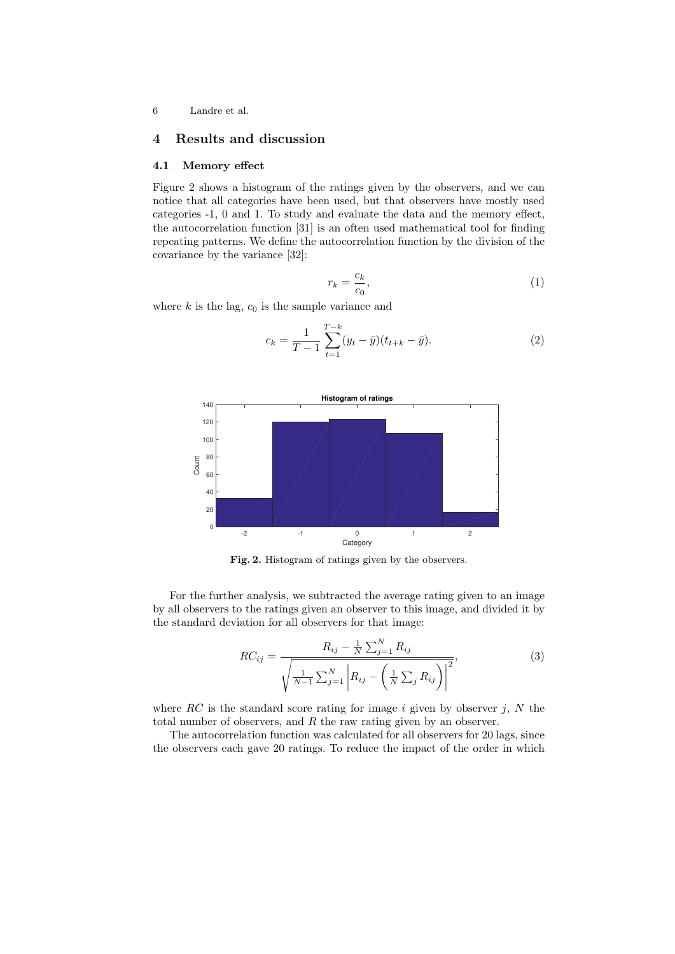## 4 Results and discussion

## 4.1 Memory effect

Figure 2 shows a histogram of the ratings given by the observers, and we can notice that all categories have been used, but that observers have mostly used categories -1, 0 and 1. To study and evaluate the data and the memory effect, the autocorrelation function [31] is an often used mathematical tool for finding repeating patterns. We define the autocorrelation function by the division of the covariance by the variance [32]:

$$
r_k = \frac{c_k}{c_0},\tag{1}
$$

where  $k$  is the lag,  $c_0$  is the sample variance and

$$
c_k = \frac{1}{T-1} \sum_{t=1}^{T-k} (y_t - \bar{y})(t_{t+k} - \bar{y}).
$$
\n(2)



Fig. 2. Histogram of ratings given by the observers.

For the further analysis, we subtracted the average rating given to an image by all observers to the ratings given an observer to this image, and divided it by the standard deviation for all observers for that image:

$$
RC_{ij} = \frac{R_{ij} - \frac{1}{N} \sum_{j=1}^{N} R_{ij}}{\sqrt{\frac{1}{N-1} \sum_{j=1}^{N} \left| R_{ij} - \left( \frac{1}{N} \sum_{j} R_{ij} \right) \right|^2}},
$$
(3)

where  $RC$  is the standard score rating for image i given by observer j, N the total number of observers, and  $R$  the raw rating given by an observer.

The autocorrelation function was calculated for all observers for 20 lags, since the observers each gave 20 ratings. To reduce the impact of the order in which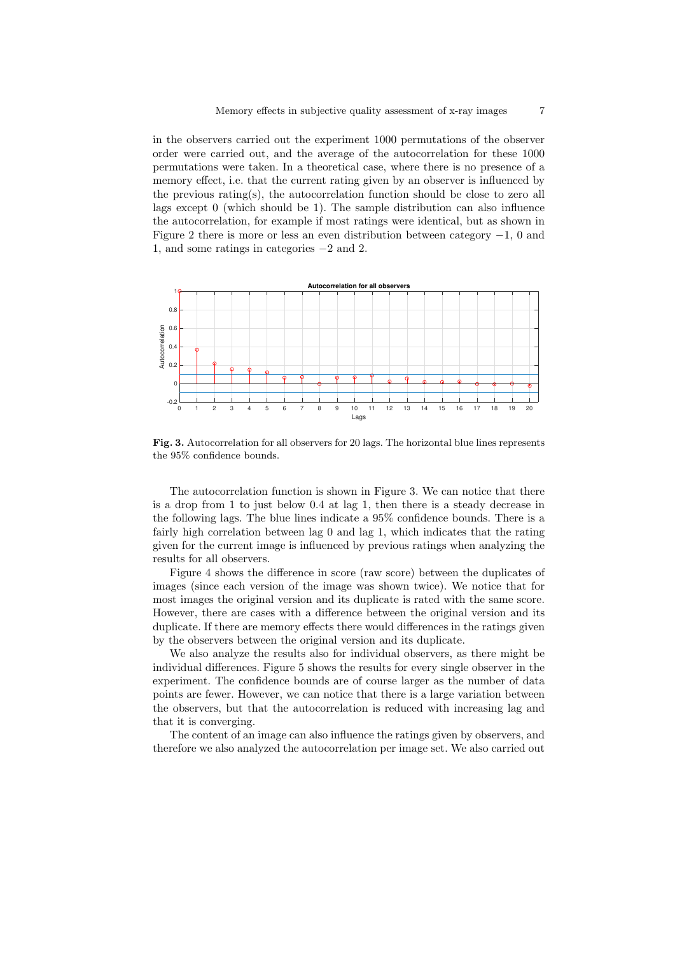in the observers carried out the experiment 1000 permutations of the observer order were carried out, and the average of the autocorrelation for these 1000 permutations were taken. In a theoretical case, where there is no presence of a memory effect, i.e. that the current rating given by an observer is influenced by the previous rating(s), the autocorrelation function should be close to zero all lags except 0 (which should be 1). The sample distribution can also influence the autocorrelation, for example if most ratings were identical, but as shown in Figure 2 there is more or less an even distribution between category −1, 0 and 1, and some ratings in categories −2 and 2.



Fig. 3. Autocorrelation for all observers for 20 lags. The horizontal blue lines represents the 95% confidence bounds.

The autocorrelation function is shown in Figure 3. We can notice that there is a drop from 1 to just below 0.4 at lag 1, then there is a steady decrease in the following lags. The blue lines indicate a 95% confidence bounds. There is a fairly high correlation between lag 0 and lag 1, which indicates that the rating given for the current image is influenced by previous ratings when analyzing the results for all observers.

Figure 4 shows the difference in score (raw score) between the duplicates of images (since each version of the image was shown twice). We notice that for most images the original version and its duplicate is rated with the same score. However, there are cases with a difference between the original version and its duplicate. If there are memory effects there would differences in the ratings given by the observers between the original version and its duplicate.

We also analyze the results also for individual observers, as there might be individual differences. Figure 5 shows the results for every single observer in the experiment. The confidence bounds are of course larger as the number of data points are fewer. However, we can notice that there is a large variation between the observers, but that the autocorrelation is reduced with increasing lag and that it is converging.

The content of an image can also influence the ratings given by observers, and therefore we also analyzed the autocorrelation per image set. We also carried out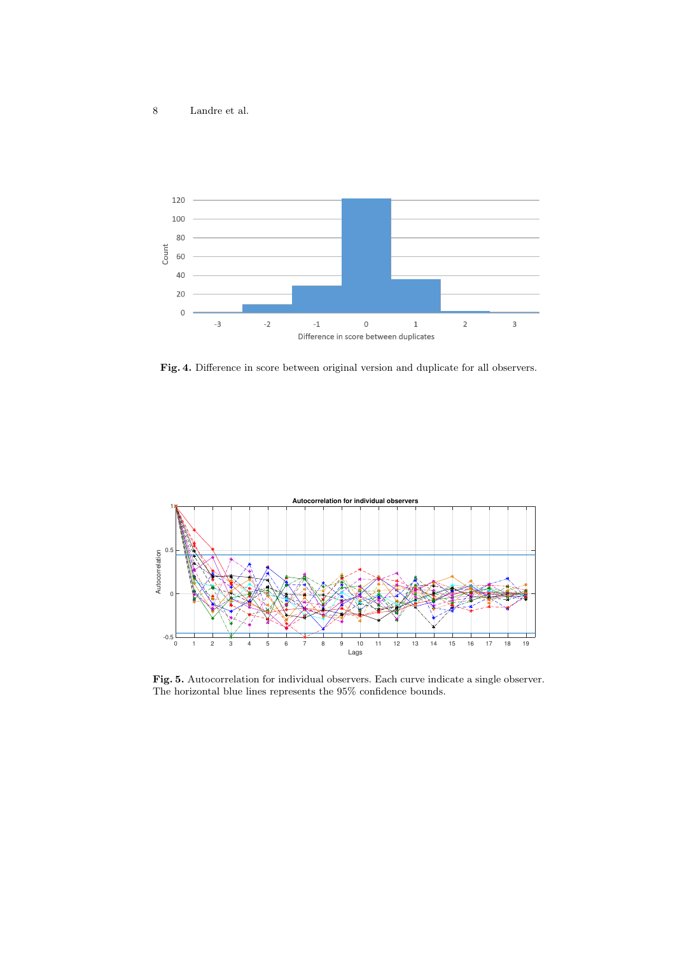

Fig. 4. Difference in score between original version and duplicate for all observers.



Fig. 5. Autocorrelation for individual observers. Each curve indicate a single observer. The horizontal blue lines represents the 95% confidence bounds.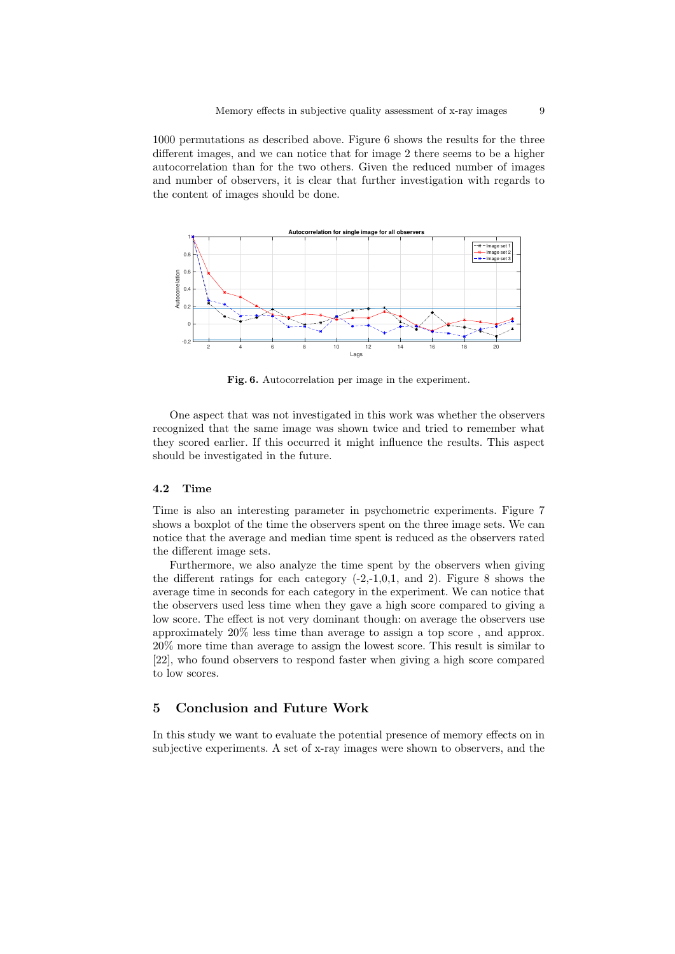1000 permutations as described above. Figure 6 shows the results for the three different images, and we can notice that for image 2 there seems to be a higher autocorrelation than for the two others. Given the reduced number of images and number of observers, it is clear that further investigation with regards to the content of images should be done.



Fig. 6. Autocorrelation per image in the experiment.

One aspect that was not investigated in this work was whether the observers recognized that the same image was shown twice and tried to remember what they scored earlier. If this occurred it might influence the results. This aspect should be investigated in the future.

### 4.2 Time

Time is also an interesting parameter in psychometric experiments. Figure 7 shows a boxplot of the time the observers spent on the three image sets. We can notice that the average and median time spent is reduced as the observers rated the different image sets.

Furthermore, we also analyze the time spent by the observers when giving the different ratings for each category  $(-2,-1,0,1, \text{ and } 2)$ . Figure 8 shows the average time in seconds for each category in the experiment. We can notice that the observers used less time when they gave a high score compared to giving a low score. The effect is not very dominant though: on average the observers use approximately 20% less time than average to assign a top score , and approx. 20% more time than average to assign the lowest score. This result is similar to [22], who found observers to respond faster when giving a high score compared to low scores.

## 5 Conclusion and Future Work

In this study we want to evaluate the potential presence of memory effects on in subjective experiments. A set of x-ray images were shown to observers, and the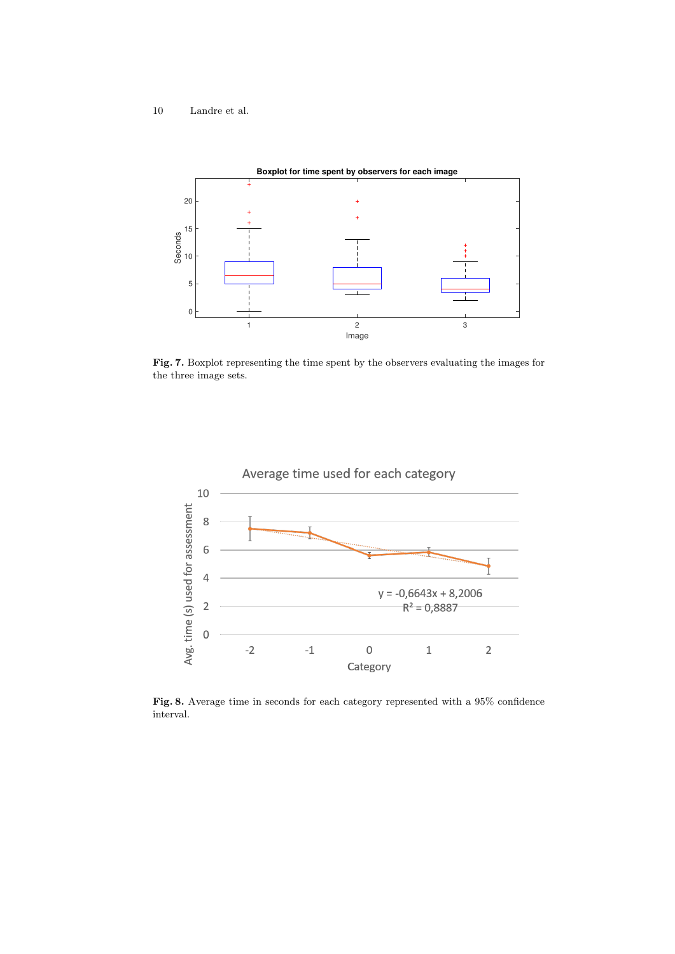

Fig. 7. Boxplot representing the time spent by the observers evaluating the images for the three image sets.



Fig. 8. Average time in seconds for each category represented with a 95% confidence interval.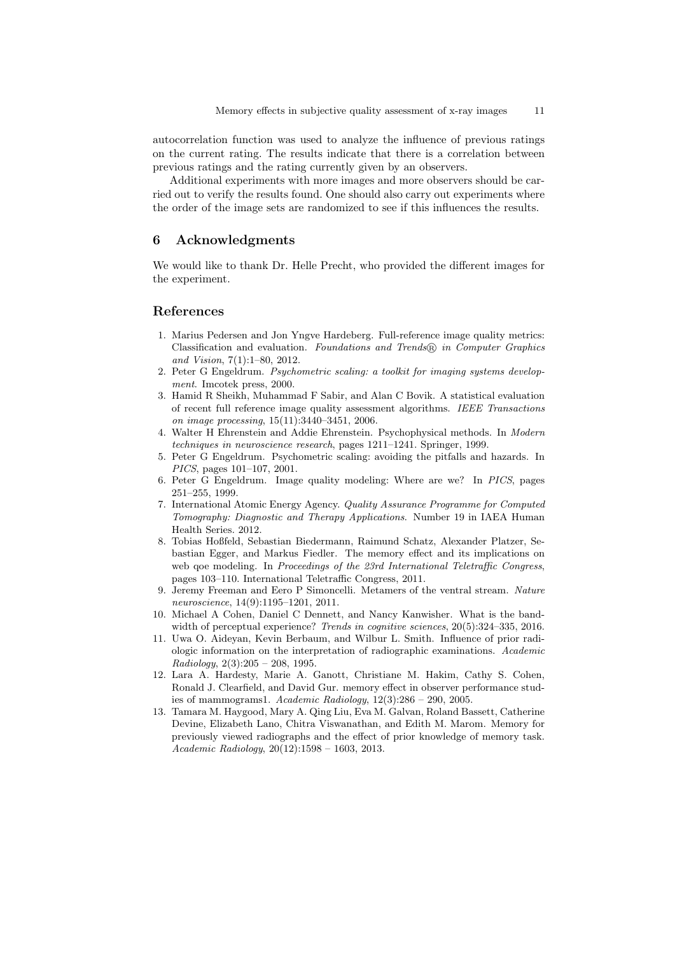autocorrelation function was used to analyze the influence of previous ratings on the current rating. The results indicate that there is a correlation between previous ratings and the rating currently given by an observers.

Additional experiments with more images and more observers should be carried out to verify the results found. One should also carry out experiments where the order of the image sets are randomized to see if this influences the results.

## 6 Acknowledgments

We would like to thank Dr. Helle Precht, who provided the different images for the experiment.

## References

- 1. Marius Pedersen and Jon Yngve Hardeberg. Full-reference image quality metrics: Classification and evaluation. Foundations and Trends® in Computer Graphics and Vision, 7(1):1–80, 2012.
- 2. Peter G Engeldrum. Psychometric scaling: a toolkit for imaging systems development. Imcotek press, 2000.
- 3. Hamid R Sheikh, Muhammad F Sabir, and Alan C Bovik. A statistical evaluation of recent full reference image quality assessment algorithms. IEEE Transactions on image processing, 15(11):3440–3451, 2006.
- 4. Walter H Ehrenstein and Addie Ehrenstein. Psychophysical methods. In Modern techniques in neuroscience research, pages 1211–1241. Springer, 1999.
- 5. Peter G Engeldrum. Psychometric scaling: avoiding the pitfalls and hazards. In PICS, pages 101–107, 2001.
- 6. Peter G Engeldrum. Image quality modeling: Where are we? In PICS, pages 251–255, 1999.
- 7. International Atomic Energy Agency. Quality Assurance Programme for Computed Tomography: Diagnostic and Therapy Applications. Number 19 in IAEA Human Health Series. 2012.
- 8. Tobias Hoßfeld, Sebastian Biedermann, Raimund Schatz, Alexander Platzer, Sebastian Egger, and Markus Fiedler. The memory effect and its implications on web goe modeling. In Proceedings of the 23rd International Teletraffic Congress, pages 103–110. International Teletraffic Congress, 2011.
- 9. Jeremy Freeman and Eero P Simoncelli. Metamers of the ventral stream. Nature neuroscience, 14(9):1195–1201, 2011.
- 10. Michael A Cohen, Daniel C Dennett, and Nancy Kanwisher. What is the bandwidth of perceptual experience? Trends in cognitive sciences, 20(5):324–335, 2016.
- 11. Uwa O. Aideyan, Kevin Berbaum, and Wilbur L. Smith. Influence of prior radiologic information on the interpretation of radiographic examinations. Academic  $Radiology, 2(3):205 - 208, 1995.$
- 12. Lara A. Hardesty, Marie A. Ganott, Christiane M. Hakim, Cathy S. Cohen, Ronald J. Clearfield, and David Gur. memory effect in observer performance studies of mammograms1. Academic Radiology, 12(3):286 – 290, 2005.
- 13. Tamara M. Haygood, Mary A. Qing Liu, Eva M. Galvan, Roland Bassett, Catherine Devine, Elizabeth Lano, Chitra Viswanathan, and Edith M. Marom. Memory for previously viewed radiographs and the effect of prior knowledge of memory task. Academic Radiology, 20(12):1598 – 1603, 2013.